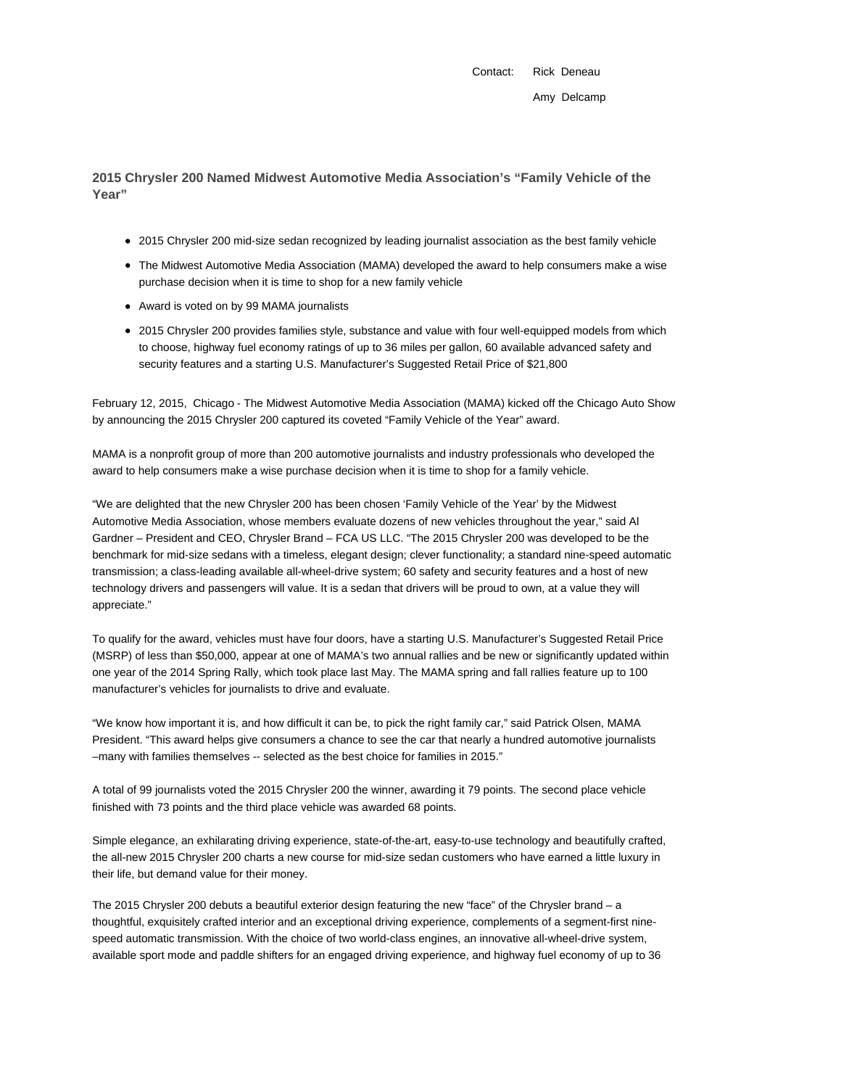Contact: Rick Deneau Amy Delcamp

**2015 Chrysler 200 Named Midwest Automotive Media Association's "Family Vehicle of the Year"**

- 2015 Chrysler 200 mid-size sedan recognized by leading journalist association as the best family vehicle
- The Midwest Automotive Media Association (MAMA) developed the award to help consumers make a wise purchase decision when it is time to shop for a new family vehicle
- Award is voted on by 99 MAMA journalists
- 2015 Chrysler 200 provides families style, substance and value with four well-equipped models from which to choose, highway fuel economy ratings of up to 36 miles per gallon, 60 available advanced safety and security features and a starting U.S. Manufacturer's Suggested Retail Price of \$21,800

February 12, 2015, Chicago - The Midwest Automotive Media Association (MAMA) kicked off the Chicago Auto Show by announcing the 2015 Chrysler 200 captured its coveted "Family Vehicle of the Year" award.

MAMA is a nonprofit group of more than 200 automotive journalists and industry professionals who developed the award to help consumers make a wise purchase decision when it is time to shop for a family vehicle.

"We are delighted that the new Chrysler 200 has been chosen 'Family Vehicle of the Year' by the Midwest Automotive Media Association, whose members evaluate dozens of new vehicles throughout the year," said Al Gardner – President and CEO, Chrysler Brand – FCA US LLC. "The 2015 Chrysler 200 was developed to be the benchmark for mid-size sedans with a timeless, elegant design; clever functionality; a standard nine-speed automatic transmission; a class-leading available all-wheel-drive system; 60 safety and security features and a host of new technology drivers and passengers will value. It is a sedan that drivers will be proud to own, at a value they will appreciate."

To qualify for the award, vehicles must have four doors, have a starting U.S. Manufacturer's Suggested Retail Price (MSRP) of less than \$50,000, appear at one of MAMA's two annual rallies and be new or significantly updated within one year of the 2014 Spring Rally, which took place last May. The MAMA spring and fall rallies feature up to 100 manufacturer's vehicles for journalists to drive and evaluate.

"We know how important it is, and how difficult it can be, to pick the right family car," said Patrick Olsen, MAMA President. "This award helps give consumers a chance to see the car that nearly a hundred automotive journalists –many with families themselves -- selected as the best choice for families in 2015."

A total of 99 journalists voted the 2015 Chrysler 200 the winner, awarding it 79 points. The second place vehicle finished with 73 points and the third place vehicle was awarded 68 points.

Simple elegance, an exhilarating driving experience, state-of-the-art, easy-to-use technology and beautifully crafted, the all-new 2015 Chrysler 200 charts a new course for mid-size sedan customers who have earned a little luxury in their life, but demand value for their money.

The 2015 Chrysler 200 debuts a beautiful exterior design featuring the new "face" of the Chrysler brand – a thoughtful, exquisitely crafted interior and an exceptional driving experience, complements of a segment-first ninespeed automatic transmission. With the choice of two world-class engines, an innovative all-wheel-drive system, available sport mode and paddle shifters for an engaged driving experience, and highway fuel economy of up to 36